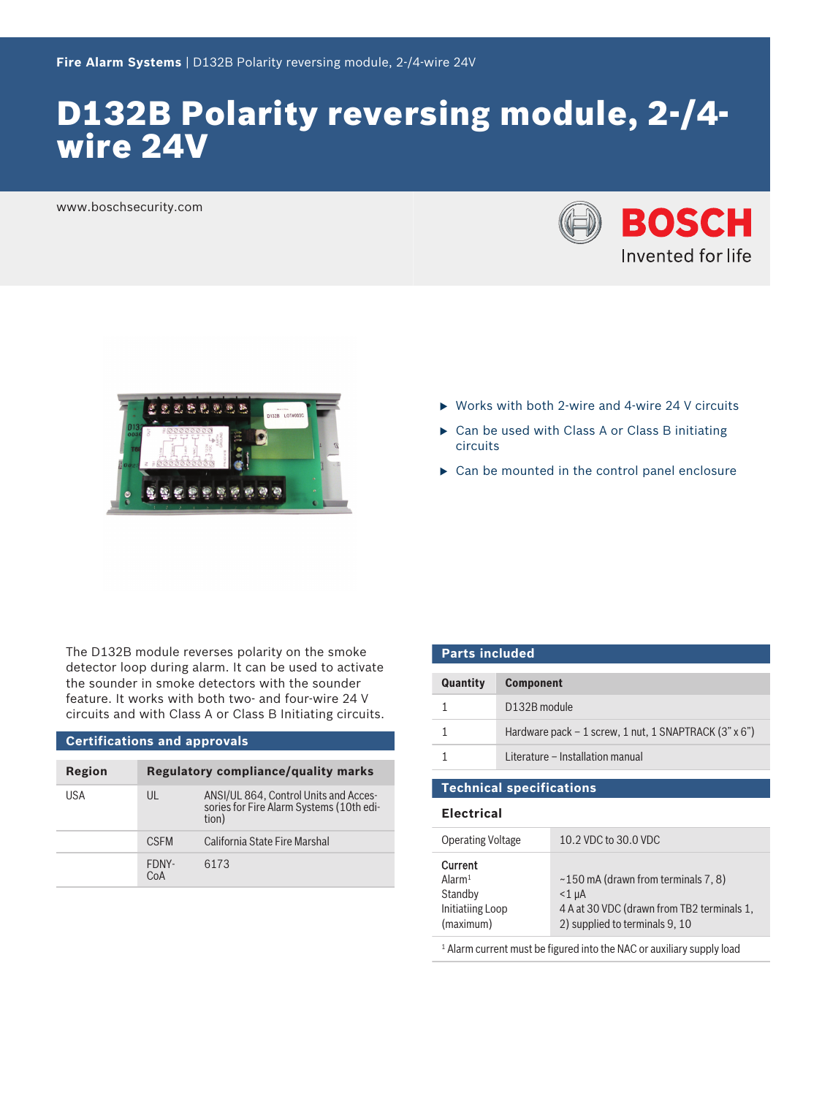# D132B Polarity reversing module, 2-/4 wire 24V

www.boschsecurity.com





- $\triangleright$  Works with both 2-wire and 4-wire 24 V circuits
- $\triangleright$  Can be used with Class A or Class B initiating circuits
- $\triangleright$  Can be mounted in the control panel enclosure

The D132B module reverses polarity on the smoke detector loop during alarm. It can be used to activate the sounder in smoke detectors with the sounder feature. It works with both two- and four-wire 24 V circuits and with Class A or Class B Initiating circuits.

#### **Certifications and approvals**

| Region | Regulatory compliance/quality marks |                                                                                            |
|--------|-------------------------------------|--------------------------------------------------------------------------------------------|
| USA    | $\mathsf{U}$                        | ANSI/UL 864, Control Units and Acces-<br>sories for Fire Alarm Systems (10th edi-<br>tion) |
|        | <b>CSEM</b>                         | California State Fire Marshal                                                              |
|        | FDNY-<br>CoA                        | 6173                                                                                       |

| <b>Parts included</b> |                                                        |  |
|-----------------------|--------------------------------------------------------|--|
| Quantity              | <b>Component</b>                                       |  |
|                       | D132B module                                           |  |
|                       | Hardware pack $-1$ screw, 1 nut, 1 SNAPTRACK (3" x 6") |  |
|                       | Literature – Installation manual                       |  |
|                       |                                                        |  |

**Technical specifications**

### **Electrical**

| <b>Operating Voltage</b>                                                                     | 10.2 VDC to 30.0 VDC                                                                                                                  |  |  |
|----------------------------------------------------------------------------------------------|---------------------------------------------------------------------------------------------------------------------------------------|--|--|
| <b>Current</b><br>Alarm <sup>1</sup><br>Standby<br>Initiatiing Loop<br>(maximum)             | $\sim$ 150 mA (drawn from terminals 7, 8)<br>$<$ 1 uA<br>4 A at 30 VDC (drawn from TB2 terminals 1,<br>2) supplied to terminals 9, 10 |  |  |
| المجاوز المستندر ويتطلق ويتحاجم فالمتحل والمنافسة والمستحلف والمستندر مستحدث ومسجلة المنافسة |                                                                                                                                       |  |  |

<sup>1</sup> Alarm current must be figured into the NAC or auxiliary supply load